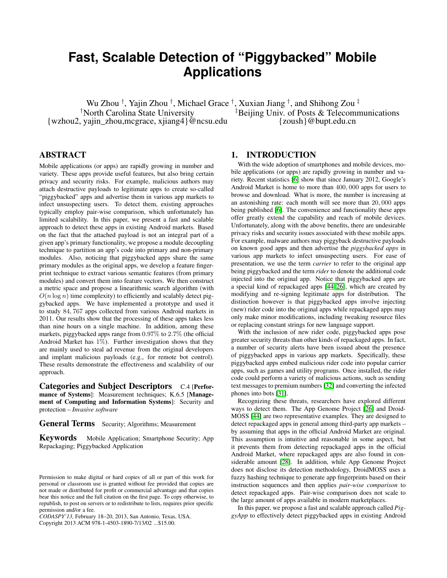# **Fast, Scalable Detection of "Piggybacked" Mobile Applications**

Wu Zhou <sup>†</sup>, Yajin Zhou <sup>†</sup>, Michael Grace <sup>†</sup>, Xuxian Jiang <sup>†</sup>, and Shihong Zou <sup>‡</sup> <sup>†</sup>North Carolina State University  $\begin{array}{c} \n\text{#Beijing Univ. of Posts & Telecommunications} \\
\text{75.3,15.4,25.5}\n\end{array}$  $\{wzhou2, vajin zhou, megrace, xjiang4\}$ @ncsu.edu

## **ABSTRACT**

Mobile applications (or apps) are rapidly growing in number and variety. These apps provide useful features, but also bring certain privacy and security risks. For example, malicious authors may attach destructive payloads to legitimate apps to create so-called "piggybacked" apps and advertise them in various app markets to infect unsuspecting users. To detect them, existing approaches typically employ pair-wise comparison, which unfortunately has limited scalability. In this paper, we present a fast and scalable approach to detect these apps in existing Android markets. Based on the fact that the attached payload is not an integral part of a given app's primary functionality, we propose a module decoupling technique to partition an app's code into primary and non-primary modules. Also, noticing that piggybacked apps share the same primary modules as the original apps, we develop a feature fingerprint technique to extract various semantic features (from primary modules) and convert them into feature vectors. We then construct a metric space and propose a linearithmic search algorithm (with  $O(n \log n)$  time complexity) to efficiently and scalably detect piggybacked apps. We have implemented a prototype and used it to study 84, 767 apps collected from various Android markets in 2011. Our results show that the processing of these apps takes less than nine hours on a single machine. In addition, among these markets, piggybacked apps range from 0.97% to 2.7% (the official Android Market has 1%). Further investigation shows that they are mainly used to steal ad revenue from the original developers and implant malicious payloads (e.g., for remote bot control). These results demonstrate the effectiveness and scalability of our approach.

**Categories and Subject Descriptors** C.4 [**Performance of Systems**]: Measurement techniques; K.6.5 [**Management of Computing and Information Systems**]: Security and protection – *Invasive software*

**General Terms** Security; Algorithms; Measurement

**Keywords** Mobile Application; Smartphone Security; App Repackaging; Piggybacked Application

*CODASPY'13,* February 18–20, 2013, San Antonio, Texas, USA. Copyright 2013 ACM 978-1-4503-1890-7/13/02 ...\$15.00.

#### **1. INTRODUCTION**

With the wide adoption of smartphones and mobile devices, mobile applications (or apps) are rapidly growing in number and variety. Recent statistics [\[6\]](#page-8-0) show that since January 2012, Google's Android Market is home to more than 400, 000 apps for users to browse and download. What is more, the number is increasing at an astonishing rate: each month will see more than 20, 000 apps being published [\[6\]](#page-8-0). The convenience and functionality these apps offer greatly extend the capability and reach of mobile devices. Unfortunately, along with the above benefits, there are undesirable privacy risks and security issues associated with these mobile apps. For example, malware authors may piggyback destructive payloads on known good apps and then advertise the *piggybacked apps* in various app markets to infect unsuspecting users. For ease of presentation, we use the term *carrier* to refer to the original app being piggybacked and the term *rider* to denote the additional code injected into the original app. Notice that piggybacked apps are a special kind of repackaged apps [\[44,](#page-10-0) [26\]](#page-9-0), which are created by modifying and re-signing legitimate apps for distribution. The distinction however is that piggybacked apps involve injecting (new) rider code into the original apps while repackaged apps may only make minor modifications, including tweaking resource files or replacing constant strings for new language support.

With the inclusion of new rider code, piggybacked apps pose greater security threats than other kinds of repackaged apps. In fact, a number of security alerts have been issued about the presence of piggybacked apps in various app markets. Specifically, these piggybacked apps embed malicious rider code into popular carrier apps, such as games and utility programs. Once installed, the rider code could perform a variety of malicious actions, such as sending text messages to premium numbers [\[32\]](#page-9-1) and converting the infected phones into bots [\[31\]](#page-9-2).

Recognizing these threats, researchers have explored different ways to detect them. The App Genome Project [\[26\]](#page-9-0) and Droid-MOSS [\[44\]](#page-10-0) are two representative examples. They are designed to detect repackaged apps in general among third-party app markets – by assuming that apps in the official Android Market are original. This assumption is intuitive and reasonable in some aspect, but it prevents them from detecting repackaged apps in the official Android Market, where repackaged apps are also found in considerable amount [\[28\]](#page-9-3). In addition, while App Genome Project does not disclose its detection methodology, DroidMOSS uses a fuzzy hashing technique to generate app fingerprints based on their instruction sequences and then applies *pair-wise comparison* to detect repackaged apps. Pair-wise comparison does not scale to the large amount of apps available in modern marketplaces.

In this paper, we propose a fast and scalable approach called *PiggyApp* to effectively detect piggybacked apps in existing Android

Permission to make digital or hard copies of all or part of this work for personal or classroom use is granted without fee provided that copies are not made or distributed for profit or commercial advantage and that copies bear this notice and the full citation on the first page. To copy otherwise, to republish, to post on servers or to redistribute to lists, requires prior specific permission and/or a fee.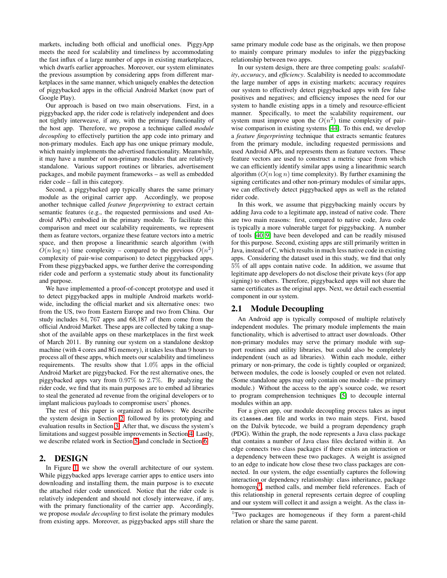markets, including both official and unofficial ones. PiggyApp meets the need for scalability and timeliness by accommodating the fast influx of a large number of apps in existing marketplaces, which dwarfs earlier approaches. Moreover, our system eliminates the previous assumption by considering apps from different marketplaces in the same manner, which uniquely enables the detection of piggybacked apps in the official Android Market (now part of Google Play).

Our approach is based on two main observations. First, in a piggybacked app, the rider code is relatively independent and does not tightly interweave, if any, with the primary functionality of the host app. Therefore, we propose a technique called *module decoupling* to effectively partition the app code into primary and non-primary modules. Each app has one unique primary module, which mainly implements the advertised functionality. Meanwhile, it may have a number of non-primary modules that are relatively standalone. Various support routines or libraries, advertisement packages, and mobile payment frameworks – as well as embedded rider code – fall in this category.

Second, a piggybacked app typically shares the same primary module as the original carrier app. Accordingly, we propose another technique called *feature fingerprinting* to extract certain semantic features (e.g., the requested permissions and used Android APIs) embodied in the primary module. To facilitate this comparison and meet our scalability requirements, we represent them as feature vectors, organize these feature vectors into a metric space, and then propose a linearithmic search algorithm (with  $O(n \log n)$  time complexity – compared to the previous  $O(n^2)$ complexity of pair-wise comparison) to detect piggybacked apps. From these piggybacked apps, we further derive the corresponding rider code and perform a systematic study about its functionality and purpose.

We have implemented a proof-of-concept prototype and used it to detect piggybacked apps in multiple Android markets worldwide, including the official market and six alternative ones: two from the US, two from Eastern Europe and two from China. Our study includes 84, 767 apps and 68,187 of them come from the official Android Market. These apps are collected by taking a snapshot of the available apps on these marketplaces in the first week of March 2011. By running our system on a standalone desktop machine (with 4 cores and 8G memory), it takes less than 9 hours to process all of these apps, which meets our scalability and timeliness requirements. The results show that 1.0% apps in the official Android Market are piggybacked. For the rest alternative ones, the piggybacked apps vary from 0.97% to 2.7%. By analyzing the rider code, we find that its main purposes are to embed ad libraries to steal the generated ad revenue from the original developers or to implant malicious payloads to compromise users' phones.

The rest of this paper is organized as follows: We describe the system design in Section [2,](#page-1-0) followed by its prototyping and evaluation results in Section [3.](#page-4-0) After that, we discuss the system's limitations and suggest possible improvements in Section [4.](#page-7-0) Lastly, we describe related work in Section [5](#page-7-1) and conclude in Section [6.](#page-8-1)

## <span id="page-1-0"></span>**2. DESIGN**

In Figure [1,](#page-2-0) we show the overall architecture of our system. While piggybacked apps leverage carrier apps to entice users into downloading and installing them, the main purpose is to execute the attached rider code unnoticed. Notice that the rider code is relatively independent and should not closely interweave, if any, with the primary functionality of the carrier app. Accordingly, we propose *module decoupling* to first isolate the primary modules from existing apps. Moreover, as piggybacked apps still share the same primary module code base as the originals, we then propose to mainly compare primary modules to infer the piggybacking relationship between two apps.

In our system design, there are three competing goals: *scalability*, *accuracy*, and *efficiency*. Scalability is needed to accommodate the large number of apps in existing markets; accuracy requires our system to effectively detect piggybacked apps with few false positives and negatives; and efficiency imposes the need for our system to handle existing apps in a timely and resource-efficient manner. Specifically, to meet the scalability requirement, our system must improve upon the  $O(n^2)$  time complexity of pairwise comparison in existing systems [\[44\]](#page-10-0). To this end, we develop a *feature fingerprinting* technique that extracts semantic features from the primary module, including requested permissions and used Android APIs, and represents them as feature vectors. These feature vectors are used to construct a metric space from which we can efficiently identify similar apps using a linearithmic search algorithm  $(O(n \log n))$  time complexity). By further examining the signing certificates and other non-primary modules of similar apps, we can effectively detect piggybacked apps as well as the related rider code.

In this work, we assume that piggybacking mainly occurs by adding Java code to a legitimate app, instead of native code. There are two main reasons: first, compared to native code, Java code is typically a more vulnerable target for piggybacking. A number of tools [\[40,](#page-10-1) [9\]](#page-9-4) have been developed and can be readily misused for this purpose. Second, existing apps are still primarily written in Java, instead of C, which results in much less native code in existing apps. Considering the dataset used in this study, we find that only 5% of all apps contain native code. In addition, we assume that legitimate app developers do not disclose their private keys (for app signing) to others. Therefore, piggybacked apps will not share the same certificates as the original apps. Next, we detail each essential component in our system.

## <span id="page-1-2"></span>**2.1 Module Decoupling**

An Android app is typically composed of multiple relatively independent modules. The primary module implements the main functionality, which is advertised to attract user downloads. Other non-primary modules may serve the primary module with support routines and utility libraries, but could also be completely independent (such as ad libraries). Within each module, either primary or non-primary, the code is tightly coupled or organized; between modules, the code is loosely coupled or even not related. (Some standalone apps may only contain one module – the primary module.) Without the access to the app's source code, we resort to program comprehension techniques [\[5\]](#page-8-2) to decouple internal modules within an app.

For a given app, our module decoupling process takes as input its lasses.dex file and works in two main steps. First, based on the Dalvik bytecode, we build a program dependency graph (PDG). Within the graph, the node represents a Java class package that contains a number of Java class files declared within it. An edge connects two class packages if there exists an interaction or a dependency between these two packages. A weight is assigned to an edge to indicate how close these two class packages are connected. In our system, the edge essentially captures the following interaction or dependency relationship: class inheritance, package homogeny<sup>[1](#page-1-1)</sup>, method calls, and member field references. Each of this relationship in general represents certain degree of coupling and our system will collect it and assign a weight. As the class in-

<span id="page-1-1"></span><sup>&</sup>lt;sup>1</sup>Two packages are homogeneous if they form a parent-child relation or share the same parent.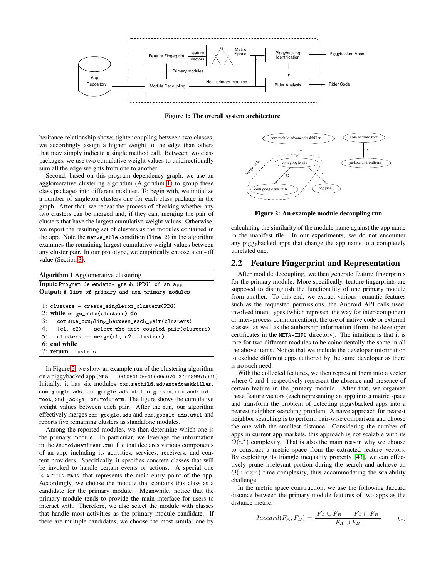

<span id="page-2-0"></span>**Figure 1: The overall system architecture**

heritance relationship shows tighter coupling between two classes, we accordingly assign a higher weight to the edge than others that may simply indicate a single method call. Between two class packages, we use two cumulative weight values to unidirectionally sum all the edge weights from one to another.

Second, based on this program dependency graph, we use an agglomerative clustering algorithm (Algorithm [1\)](#page-2-1) to group these class packages into different modules. To begin with, we initialize a number of singleton clusters one for each class package in the graph. After that, we repeat the process of checking whether any two clusters can be merged and, if they can, merging the pair of clusters that have the largest cumulative weight values. Otherwise, we report the resulting set of clusters as the modules contained in the app. Note the merge\_able condition (line 2) in the algorithm examines the remaining largest cumulative weight values between any cluster pair. In our prototype, we empirically choose a cut-off value (Section [3\)](#page-4-0).

<span id="page-2-1"></span>

| <b>Algorithm 1</b> Agglomerative clustering                         |
|---------------------------------------------------------------------|
| <b>Input:</b> Program dependency graph (PDG) of an app              |
| <b>Output:</b> A list of primary and non-primary modules            |
| 1: clusters = create_singleton_clusters(PDG)                        |
| 2: while merge_able(clusters) $do$                                  |
| 3: compute_coupling_between_each_pair(clusters)                     |
| 4: $(ct, c2) \leftarrow select\_the\_most\_coupled\_pair(clusters)$ |
| 5: clusters $\leftarrow$ merge(c1, c2, clusters)                    |
| 6: end while                                                        |
| 7: return clusters                                                  |

In Figure [2,](#page-2-2) we show an example run of the clustering algorithm on a piggybacked app (MD5: 09105460be466d0c024c37df8997b061). Initially, it has six modules om.re
hild.advan
edtaskkiller, com.google.ads, com.google.ads.util, org.json, com.android.root, and jackpal androidterm. The figure shows the cumulative weight values between each pair. After the run, our algorithm effectively merges om.google.ads and om.google.ads.util and reports five remaining clusters as standalone modules.

Among the reported modules, we then determine which one is the primary module. In particular, we leverage the information in the AndroidManifest.xml file that declares various components of an app, including its activities, services, receivers, and content providers. Specifically, it specifies concrete classes that will be invoked to handle certain events or actions. A special one is ACTION.MAIN that represents the main entry point of the app. Accordingly, we choose the module that contains this class as a candidate for the primary module. Meanwhile, notice that the primary module tends to provide the main interface for users to interact with. Therefore, we also select the module with classes that handle most activities as the primary module candidate. If there are multiple candidates, we choose the most similar one by



**Figure 2: An example module decoupling run**

<span id="page-2-2"></span>calculating the similarity of the module name against the app name in the manifest file. In our experiments, we do not encounter any piggybacked apps that change the app name to a completely unrelated one.

#### <span id="page-2-4"></span>**2.2 Feature Fingerprint and Representation**

After module decoupling, we then generate feature fingerprints for the primary module. More specifically, feature fingerprints are supposed to distinguish the functionality of one primary module from another. To this end, we extract various semantic features such as the requested permissions, the Android API calls used, involved intent types (which represent the way for inter-component or inter-process communication), the use of native code or external classes, as well as the authorship information (from the developer certificates in the META-INFO directory). The intuition is that it is rare for two different modules to be coincidentally the same in all the above items. Notice that we include the developer information to exclude different apps authored by the same developer as there is no such need.

With the collected features, we then represent them into a vector where 0 and 1 respectively represent the absence and presence of certain feature in the primary module. After that, we organize these feature vectors (each representing an app) into a metric space and transform the problem of detecting piggybacked apps into a nearest neighbor searching problem. A naive approach for nearest neighbor searching is to perform pair-wise comparison and choose the one with the smallest distance. Considering the number of apps in current app markets, this approach is not scalable with its  $\overrightarrow{O}(n^2)$  complexity. That is also the main reason why we choose to construct a metric space from the extracted feature vectors. By exploiting its triangle inequality property [\[43\]](#page-10-2), we can effectively prune irrelevant portion during the search and achieve an  $O(n \log n)$  time complexity, thus accommodating the scalability challenge.

<span id="page-2-3"></span>In the metric space construction, we use the following Jaccard distance between the primary module features of two apps as the distance metric:

$$
Jaccard(F_A, F_B) = \frac{|F_A \cup F_B| - |F_A \cap F_B|}{|F_A \cup F_B|} \tag{1}
$$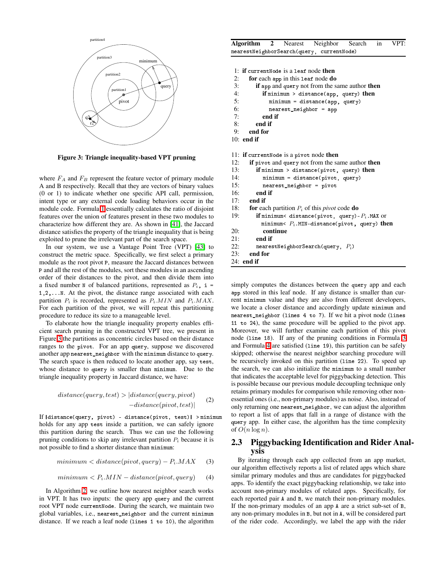

**Figure 3: Triangle inequality-based VPT pruning**

<span id="page-3-0"></span>where  $F_A$  and  $F_B$  represent the feature vector of primary module A and B respectively. Recall that they are vectors of binary values (0 or 1) to indicate whether one specific API call, permission, intent type or any external code loading behaviors occur in the module code. Formula [1](#page-2-3) essentially calculates the ratio of disjoint features over the union of features present in these two modules to characterize how different they are. As shown in [\[41\]](#page-10-3), the Jaccard distance satisfies the property of the triangle inequality that is being exploited to prune the irrelevant part of the search space.

In our system, we use a Vantage Point Tree (VPT) [\[43\]](#page-10-2) to construct the metric space. Specifically, we first select a primary module as the root pivot P, measure the Jaccard distances between P and all the rest of the modules, sort these modules in an ascending order of their distances to the pivot, and then divide them into a fixed number N of balanced partitions, represented as  $P_i$ , i = 1,2,...N. At the pivot, the distance range associated with each partition  $P_i$  is recorded, represented as  $P_i$ . MIN and  $P_i$ . MAX. For each partition of the pivot, we will repeat this partitioning procedure to reduce its size to a manageable level.

To elaborate how the triangle inequality property enables efficient search pruning in the constructed VPT tree, we present in Figure [3](#page-3-0) the partitions as concentric circles based on their distance ranges to the pivot. For an app query, suppose we discovered another app nearest\_neighbor with the minimum distance to query. The search space is then reduced to locate another app, say test, whose distance to query is smaller than minimum. Due to the triangle inequality property in Jaccard distance, we have:

#### $distance(query, test) > |distance(query, pivot)$  $-distance(pivot,test)|$ (2)

If |distan
e(query, pivot) - distan
e(pivot, test)| > minimum holds for any app test inside a partition, we can safely ignore this partition during the search. Thus we can use the following pruning conditions to skip any irrelevant partition  $P_i$  because it is not possible to find a shorter distance than minimum:

$$
minimum < distance(pivot, query) - P_i \cdot MAX \tag{3}
$$

$$
minimum < P_i.MIN-distance(pivot, query) \qquad (4)
$$

<span id="page-3-3"></span><span id="page-3-2"></span>In Algorithm [2,](#page-3-1) we outline how nearest neighbor search works in VPT. It has two inputs: the query app query and the current root VPT node currentNode. During the search, we maintain two global variables, i.e., nearest\_neighbor and the current minimum distance. If we reach a leaf node (lines 1 to 10), the algorithm

|  | <b>Algorithm 2</b> Nearest Neighbor Search in |  | VPT: |
|--|-----------------------------------------------|--|------|
|  | nearestNeighborSearch(query, currentNode)     |  |      |

<span id="page-3-1"></span>

|     | $\mathbf{1}$ : if current Node is a leaf node then           |
|-----|--------------------------------------------------------------|
| 2:  | for each app in this leaf node do                            |
| 3:  | <b>if</b> app and query not from the same author <b>then</b> |
| 4:  | <b>if</b> minimum > distance(app, query) then                |
| 5:  | minimum = distance(app, query)                               |
| 6:  | nearest_neighbor = app                                       |
| 7:  | end if                                                       |
| 8:  | end if                                                       |
| 9:  | end for                                                      |
|     | $10:$ end if                                                 |
|     |                                                              |
|     | 11: if current Node is a pivot node then                     |
| 12: | if pivot and query not from the same author then             |
| 13: | <b>if</b> minimum > distance (pivot, query) then             |
| 14: | minimum = distance(pivot, query)                             |
| 15: | nearest_neighbor = pivot                                     |
| 16: | end if                                                       |
| 17: | end if                                                       |
| 18: | for each partition $P_i$ of this <i>pivot</i> code <b>do</b> |

- 19: **if** minimum< distance(pivot, query)- $P_i$ . MAX or minimum< Pi.MIN-distan
e(pivot, query) **then** 20: **continue** 21: **end if** 22: nearestNeighborSearch (query,  $P_i$ )
- 23: **end for**

24: **end if**

simply computes the distances between the query app and each app stored in this leaf node. If any distance is smaller than current minimum value and they are also from different developers, we locate a closer distance and accordingly update minimum and nearest\_neighbor (lines 4 to 7). If we hit a pivot node (lines <sup>11</sup> to <sup>24</sup>), the same procedure will be applied to the pivot app. Moreover, we will further examine each partition of this pivot node (line 18). If any of the pruning conditions in Formula [3](#page-3-2) and Formula [4](#page-3-3) are satisfied (line 19), this partition can be safely skipped; otherwise the nearest neighbor searching procedure will be recursively invoked on this partition (line 22). To speed up the search, we can also initialize the minimum to a small number that indicates the acceptable level for piggybacking detection. This is possible because our previous module decoupling technique only retains primary modules for comparison while removing other nonessential ones (i.e., non-primary modules) as noise. Also, instead of only returning one nearest\_neighbor, we can adjust the algorithm to report a list of apps that fall in a range of distance with the query app. In either case, the algorithm has the time complexity of  $O(n \log n)$ .

## <span id="page-3-4"></span>**2.3 Piggybacking Identification and Rider Analysis**

By iterating through each app collected from an app market, our algorithm effectively reports a list of related apps which share similar primary modules and thus are candidates for piggybacked apps. To identify the exact piggybacking relationship, we take into account non-primary modules of related apps. Specifically, for each reported pair A and B, we match their non-primary modules. If the non-primary modules of an app A are a strict sub-set of B, any non-primary modules in B, but not in A, will be considered part of the rider code. Accordingly, we label the app with the rider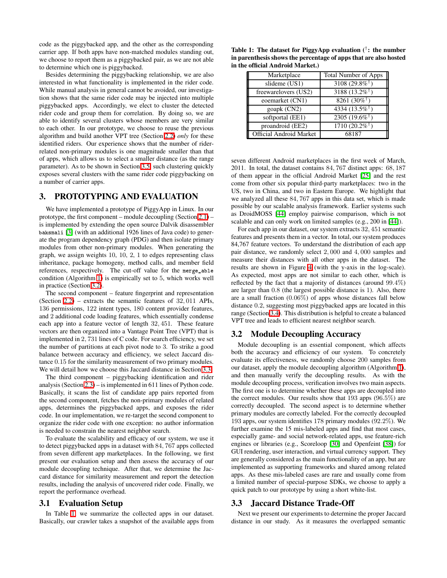code as the piggybacked app, and the other as the corresponding carrier app. If both apps have non-matched modules standing out, we choose to report them as a piggybacked pair, as we are not able to determine which one is piggybacked.

Besides determining the piggybacking relationship, we are also interested in what functionality is implemented in the rider code. While manual analysis in general cannot be avoided, our investigation shows that the same rider code may be injected into multiple piggybacked apps. Accordingly, we elect to cluster the detected rider code and group them for correlation. By doing so, we are able to identify several clusters whose members are very similar to each other. In our prototype, we choose to reuse the previous algorithm and build another VPT tree (Section [2.2\)](#page-2-4) *only* for these identified riders. Our experience shows that the number of riderrelated non-primary modules is one magnitude smaller than that of apps, which allows us to select a smaller distance (as the range parameter). As to be shown in Section [3.5,](#page-5-0) such clustering quickly exposes several clusters with the same rider code piggybacking on a number of carrier apps.

## <span id="page-4-0"></span>**3. PROTOTYPING AND EVALUATION**

We have implemented a prototype of PiggyApp in Linux. In our prototype, the first component – module decoupling (Section  $2.1$ ) – is implemented by extending the open source Dalvik disassembler baksmali [\[3\]](#page-8-3) (with an additional 1926 lines of Java code) to generate the program dependency graph (PDG) and then isolate primary modules from other non-primary modules. When generating the graph, we assign weights 10, 10, 2, 1 to edges representing class inheritance, package homogeny, method calls, and member field references, respectively. The cut-off value for the merge\_able condition (Algorithm [1\)](#page-2-1) is empirically set to 5, which works well in practice (Section [3.2\)](#page-4-1).

The second component – feature fingerprint and representation (Section [2.2\)](#page-2-4) – extracts the semantic features of 32, 011 APIs, 136 permissions, 122 intent types, 180 content provider features, and 2 additional code loading features, which essentially condense each app into a feature vector of length 32, 451. These feature vectors are then organized into a Vantage Point Tree (VPT) that is implemented in 2, 731 lines of C code. For search efficiency, we set the number of partitions at each pivot node to 3. To strike a good balance between accuracy and efficiency, we select Jaccard distance 0.15 for the similarity measurement of two primary modules. We will detail how we choose this Jaccard distance in Section [3.3.](#page-4-2)

The third component – piggybacking identification and rider analysis (Section [2.3\)](#page-3-4) – is implemented in 611 lines of Python code. Basically, it scans the list of candidate app pairs reported from the second component, fetches the non-primary modules of related apps, determines the piggybacked apps, and exposes the rider code. In our implementation, we re-target the second component to organize the rider code with one exception: no author information is needed to constrain the nearest neighbor search.

To evaluate the scalability and efficacy of our system, we use it to detect piggybacked apps in a dataset with 84, 767 apps collected from seven different app marketplaces. In the following, we first present our evaluation setup and then assess the accuracy of our module decoupling technique. After that, we determine the Jaccard distance for similarity measurement and report the detection results, including the analysis of uncovered rider code. Finally, we report the performance overhead.

#### **3.1 Evaluation Setup**

In Table [1,](#page-4-3) we summarize the collected apps in our dataset. Basically, our crawler takes a snapshot of the available apps from

<span id="page-4-3"></span>**Table 1: The dataset for PiggyApp evaluation (**† **: the number in parenthesis shows the percentage of apps that are also hosted in the official Android Market.)**

| Marketplace                    | <b>Total Number of Apps</b> |
|--------------------------------|-----------------------------|
| slideme (US1)                  | $3108 (29.8\%)$             |
| freewarelovers (US2)           | $3188 (13.2\%)$             |
| eoemarket (CN1)                | 8261 $(30\%^{\dagger})$     |
| goapk (CN2)                    | 4334 $(13.5\%^{\dagger})$   |
| softportal (EE1)               | $2305(19.6\%)$              |
| proandroid (EE2)               | $1710(20.2\%^{\dagger})$    |
| <b>Official Android Market</b> | 68187                       |

seven different Android marketplaces in the first week of March, 2011. In total, the dataset contains 84, 767 distinct apps: 68, 187 of them appear in the official Android Market [\[25\]](#page-9-5) and the rest come from other six popular third-party marketplaces: two in the US, two in China, and two in Eastern Europe. We highlight that we analyzed all these 84, 767 apps in this data set, which is made possible by our scalable analysis framework. Earlier systems such as DroidMOSS [\[44\]](#page-10-0) employ pairwise comparison, which is not scalable and can only work on limited samples (e.g., 200 in [\[44\]](#page-10-0)).

For each app in our dataset, our system extracts 32, 451 semantic features and presents them in a vector. In total, our system produces 84,767 feature vectors. To understand the distribution of each app pair distance, we randomly select 2, 000 and 4, 000 samples and measure their distances with all other apps in the dataset. The results are shown in Figure [4](#page-5-1) (with the y-axis in the log-scale). As expected, most apps are not similar to each other, which is reflected by the fact that a majority of distances (around 99.4%) are larger than 0.8 (the largest possible distance is 1). Also, there are a small fraction (0.06%) of apps whose distances fall below distance 0.2, suggesting most piggybacked apps are located in this range (Section [3.4\)](#page-5-2). This distribution is helpful to create a balanced VPT tree and leads to efficient nearest neighbor search.

#### <span id="page-4-1"></span>**3.2 Module Decoupling Accuracy**

Module decoupling is an essential component, which affects both the accuracy and efficiency of our system. To concretely evaluate its effectiveness, we randomly choose 200 samples from our dataset, apply the module decoupling algorithm (Algorithm [1\)](#page-2-1), and then manually verify the decoupling results. As with the module decoupling process, verification involves two main aspects. The first one is to determine whether these apps are decoupled into the correct modules. Our results show that 193 apps (96.5%) are correctly decoupled. The second aspect is to determine whether primary modules are correctly labeled. For the correctly decoupled 193 apps, our system identifies 178 primary modules (92.2%). We further examine the 15 mis-labeled apps and find that most cases, especially game- and social network-related apps, use feature-rich engines or libraries (e.g., Scoreloop [\[30\]](#page-9-6) and Openfeint [\[38\]](#page-10-4)) for GUI rendering, user interaction, and virtual currency support. They are generally considered as the main functionality of an app, but are implemented as supporting frameworks and shared among related apps. As these mis-labeled cases are rare and usually come from a limited number of special-purpose SDKs, we choose to apply a quick patch to our prototype by using a short white-list.

#### <span id="page-4-2"></span>**3.3 Jaccard Distance Trade-Off**

Next we present our experiments to determine the proper Jaccard distance in our study. As it measures the overlapped semantic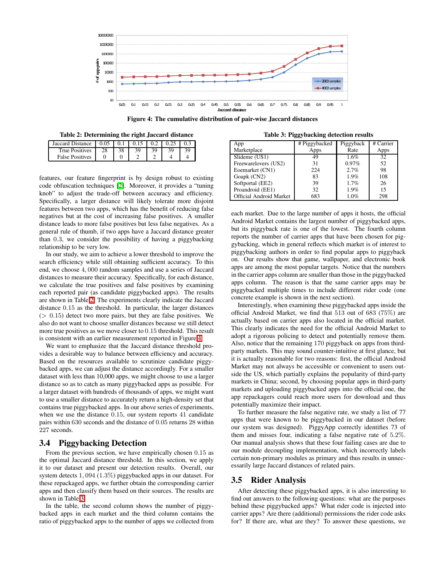

<span id="page-5-1"></span>**Figure 4: The cumulative distribution of pair-wise Jaccard distances**

**Table 2: Determining the right Jaccard distance**

<span id="page-5-3"></span>

| Jaccard Distance $\parallel$ 0.05 $\parallel$ 0.1 |    |    |    | $0.15 \pm 0.2 \pm 0.25 \pm 0.3$ |  |
|---------------------------------------------------|----|----|----|---------------------------------|--|
| True Positives                                    | 28 | 39 | 30 | 39                              |  |
| <b>False Positives</b>                            |    |    |    |                                 |  |

features, our feature fingerprint is by design robust to existing code obfuscation techniques [\[2\]](#page-8-4). Moreover, it provides a "tuning knob" to adjust the trade-off between accuracy and efficiency. Specifically, a larger distance will likely tolerate more disjoint features between two apps, which has the benefit of reducing false negatives but at the cost of increasing false positives. A smaller distance leads to more false positives but less false negatives. As a general rule of thumb, if two apps have a Jaccard distance greater than 0.3, we consider the possibility of having a piggybacking relationship to be very low.

In our study, we aim to achieve a lower threshold to improve the search efficiency while still obtaining sufficient accuracy. To this end, we choose 4, 000 random samples and use a series of Jaccard distances to measure their accuracy. Specifically, for each distance, we calculate the true positives and false positives by examining each reported pair (as candidate piggybacked apps). The results are shown in Table [2.](#page-5-3) The experiments clearly indicate the Jaccard distance 0.15 as the threshold. In particular, the larger distances  $(> 0.15)$  detect two more pairs, but they are false positives. We also do not want to choose smaller distances because we still detect more true positives as we move closer to 0.15 threshold. This result is consistent with an earlier measurement reported in Figure [4.](#page-5-1)

We want to emphasize that the Jaccard distance threshold provides a desirable way to balance between efficiency and accuracy. Based on the resources available to scrutinize candidate piggybacked apps, we can adjust the distance accordingly. For a smaller dataset with less than 10,000 apps, we might choose to use a larger distance so as to catch as many piggybacked apps as possible. For a larger dataset with hundreds of thousands of apps, we might want to use a smaller distance to accurately return a high-density set that contains true piggybacked apps. In our above series of experiments, when we use the distance 0.15, our system reports 41 candidate pairs within 630 seconds and the distance of 0.05 returns 28 within 227 seconds.

## <span id="page-5-2"></span>**3.4 Piggybacking Detection**

From the previous section, we have empirically chosen 0.15 as the optimal Jaccard distance threshold. In this section, we apply it to our dataset and present our detection results. Overall, our system detects 1, 094 (1.3%) piggybacked apps in our dataset. For these repackaged apps, we further obtain the corresponding carrier apps and then classify them based on their sources. The results are shown in Table [3.](#page-5-4)

In the table, the second column shows the number of piggybacked apps in each market and the third column contains the ratio of piggybacked apps to the number of apps we collected from

<span id="page-5-4"></span>

| Table 5: 1 iggybaching delection results |               |           |           |  |  |
|------------------------------------------|---------------|-----------|-----------|--|--|
| App                                      | # Piggybacked | Piggyback | # Carrier |  |  |
| Marketplace                              | Apps          | Rate      | Apps      |  |  |
| Slideme (US1)                            | 49            | 1.6%      | 32        |  |  |
| Freewarelovers (US2)                     | 31            | 0.97%     | 52        |  |  |
| Eoemarket (CN1)                          | 224           | 2.7%      | 98        |  |  |
| Goapk (CN2)                              | 83            | 1.9%      | 108       |  |  |
| Softportal (EE2)                         | 39            | 1.7%      | 26        |  |  |
| Proandroid (EE1)                         | 32            | 1.9%      | 15        |  |  |
| <b>Official Android Market</b>           | 683           | 1.0%      | 298       |  |  |

**Table 3: Piggybacking detection results**

each market. Due to the large number of apps it hosts, the official Android Market contains the largest number of piggybacked apps, but its piggyback rate is one of the lowest. The fourth column reports the number of carrier apps that have been chosen for piggybacking, which in general reflects which market is of interest to piggybacking authors in order to find popular apps to piggyback on. Our results show that game, wallpaper, and electronic book apps are among the most popular targets. Notice that the numbers in the carrier apps column are smaller than those in the piggybacked apps column. The reason is that the same carrier apps may be piggybacked multiple times to include different rider code (one concrete example is shown in the next section).

Interestingly, when examining these piggybacked apps inside the official Android Market, we find that 513 out of 683 (75%) are actually based on carrier apps also located in the official market. This clearly indicates the need for the official Android Market to adopt a rigorous policing to detect and potentially remove them. Also, notice that the remaining 170 piggyback on apps from thirdparty markets. This may sound counter-intuitive at first glance, but it is actually reasonable for two reasons: first, the official Android Market may not always be accessible or convenient to users outside the US, which partially explains the popularity of third-party markets in China; second, by choosing popular apps in third-party markets and uploading piggybacked apps into the official one, the app repackagers could reach more users for download and thus potentially maximize their impact.

To further measure the false negative rate, we study a list of 77 apps that were known to be piggybacked in our dataset (before our system was designed). PiggyApp correctly identifies 73 of them and misses four, indicating a false negative rate of 5.2%. Our manual analysis shows that these four failing cases are due to our module decoupling implementation, which incorrectly labels certain non-primary modules as primary and thus results in unnecessarily large Jaccard distances of related pairs.

## <span id="page-5-0"></span>**3.5 Rider Analysis**

After detecting these piggybacked apps, it is also interesting to find out answers to the following questions: what are the purposes behind these piggybacked apps? What rider code is injected into carrier apps? Are there (additional) permissions the rider code asks for? If there are, what are they? To answer these questions, we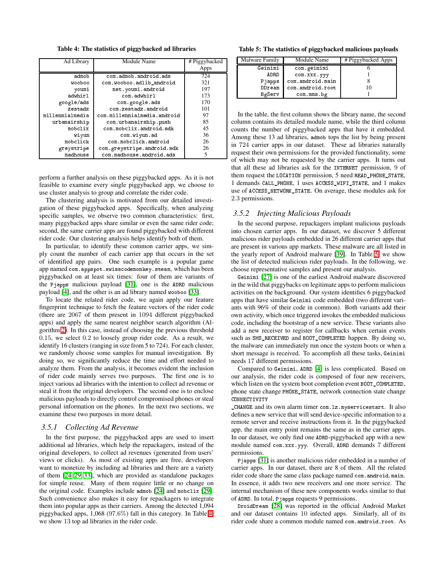**Table 4: The statistics of piggybacked ad libraries**

<span id="page-6-0"></span>

| Ad Library      | Module Name                 | # Piggybacked |
|-----------------|-----------------------------|---------------|
|                 |                             | Apps          |
| admob           | com.admob.android.ads       | 724           |
| wooboo          | com wooboo adlib android    | 321           |
| youmi           | net. youmi.android          | 197           |
| adyhirl         | com advhirl                 | 173           |
| google/ads      | com google ads              | 170           |
| zestadz         | com.zestadz.android         | 101           |
| millennialmedia | com.millennialmedia.android | 97            |
| urbanairship    | com.urbanairship.push       | 85            |
| mobclix         | com.mobclix.android.sdk     | 45            |
| wiyun           | com wiyun ad                | 36            |
| mobclick        | com.mobclick.android        | 26            |
| greystripe      | com.greystripe.android.sdk  | 26            |
| madhouse        | com.madhouse.android.ads    | 5             |

perform a further analysis on these piggybacked apps. As it is not feasible to examine every single piggybacked app, we choose to use cluster analysis to group and correlate the rider code.

The clustering analysis is motivated from our detailed investigation of these piggybacked apps. Specifically, when analyzing specific samples, we observe two common characteristics: first, many piggybacked apps share similar or even the same rider code; second, the same carrier apps are found piggybacked with different rider code. Our clustering analysis helps identify both of them.

In particular, to identify these common carrier apps, we simply count the number of each carrier app that occurs in the set of identified app pairs. One such example is a popular game app named om.appspot.swiss
odemonkey.steam, which has been piggybacked on at least six times: four of them are variants of the Pjapps malicious payload [\[31\]](#page-9-2), one is the ADRD malicious payload [\[4\]](#page-8-5), and the other is an ad library named wooboo [\[33\]](#page-9-7).

To locate the related rider code, we again apply our feature fingerprint technique to fetch the feature vectors of the rider code (there are 2067 of them present in 1094 different piggybacked apps) and apply the same nearest neighbor search algorithm (Algorithm [2\)](#page-3-1). In this case, instead of choosing the previous threshold 0.15, we select 0.2 to loosely group rider code. As a result, we identify 16 clusters (ranging in size from 5 to 724). For each cluster, we randomly choose some samples for manual investigation. By doing so, we significantly reduce the time and effort needed to analyze them. From the analysis, it becomes evident the inclusion of rider code mainly serves two purposes. The first one is to inject various ad libraries with the intention to collect ad revenue or steal it from the original developers. The second one is to enclose malicious payloads to directly control compromised phones or steal personal information on the phones. In the next two sections, we examine these two purposes in more detail.

#### *3.5.1 Collecting Ad Revenue*

In the first purpose, the piggybacked apps are used to insert additional ad libraries, which help the repackagers, instead of the original developers, to collect ad revenues (generated from users' views or clicks). As most of existing apps are free, developers want to monetize by including ad libraries and there are a variety of them [\[24,](#page-9-8) [29,](#page-9-9) [33\]](#page-9-7), which are provided as standalone packages for simple reuse. Many of them require little or no change on the original code. Examples include admob [\[24\]](#page-9-8) and mobclix [\[29\]](#page-9-9). Such convenience also makes it easy for repackagers to integrate them into popular apps as their carriers. Among the detected 1,094 piggybacked apps, 1,068 (97.6%) fall in this category. In Table [4,](#page-6-0) we show 13 top ad libraries in the rider code.

**Table 5: The statistics of piggybacked malicious payloads**

<span id="page-6-1"></span>

| Malware Family | Module Name      | # Piggybacked Apps |
|----------------|------------------|--------------------|
| Geinimi        | com geinimi      |                    |
| ADRD           | com xxx yyy      |                    |
| Pjapps         | com.android.main |                    |
| DDream         | com.android.root |                    |
| BgServ         | com mms bg       |                    |

In the table, the first column shows the library name, the second column contains its detailed module name, while the third column counts the number of piggybacked apps that have it embedded. Among these 13 ad libraries, admob tops the list by being present in 724 carrier apps in our dataset. These ad libraries naturally request their own permissions for the provided functionality, some of which may not be requested by the carrier apps. It turns out that all these ad libraries ask for the INTERNET permission, 9 of them request the LOCATION permission, 5 need READ\_PHONE\_STATE, 1 demands CALL\_PHONE, 1 uses ACCESS\_WIFI\_STATE, and 1 makes use of ACCESS\_NETWORK\_STATE. On average, these modules ask for 2.3 permissions.

#### *3.5.2 Injecting Malicious Payloads*

In the second purpose, repackagers implant malicious payloads into chosen carrier apps. In our dataset, we discover 5 different malicious rider payloads embedded in 26 different carrier apps that are present in various app markets. These malware are all listed in the yearly report of Android malware [\[39\]](#page-10-5). In Table [5,](#page-6-1) we show the list of detected malicious rider payloads. In the following, we choose representative samples and present our analysis.

Geinimi [\[27\]](#page-9-10) is one of the earliest Android malware discovered in the wild that piggybacks on legitimate apps to perform malicious activities on the background. Our system identifies 6 piggybacked apps that have similar Geinimi code embedded (two different variants with 96% of their code in common). Both variants add their own activity, which once triggered invokes the embedded malicious code, including the bootstrap of a new service. These variants also add a new receiver to register for callbacks when certain events such as SMS\_RECEIVED and BOOT\_COMPLETED happen. By doing so, the malware can immediately run once the system boots or when a short message is received. To accomplish all these tasks, Geinimi needs 17 different permissions.

Compared to Geinimi, ADRD [\[4\]](#page-8-5) is less complicated. Based on our analysis, the rider code is composed of four new receivers, which listen on the system boot completion event BOOT\_COMPLETED, phone state change PHONE\_STATE, network connection state change CONNECTIVITY

\_CHANGE and its own alarm timer om.lz.myservi
estart. It also defines a new service that will send device-specific information to a remote server and receive instructions from it. In the piggybacked app, the main entry point remains the same as in the carrier apps. In our dataset, we only find one ADRD-piggybacked app with a new module named om.xxx.yyy. Overall, ADRD demands 7 different permissions.

Pjapps [\[31\]](#page-9-2) is another malicious rider embedded in a number of carrier apps. In our dataset, there are 8 of them. All the related rider code share the same class package named om.android.main. In essence, it adds two new receivers and one more service. The internal mechanism of these new components works similar to that of ADRD. In total, Pjapps requests 9 permissions.

DroidDream [\[28\]](#page-9-3) was reported in the official Android Market and our dataset contains 10 infected apps. Similarly, all of its rider code share a common module named om.android.root. As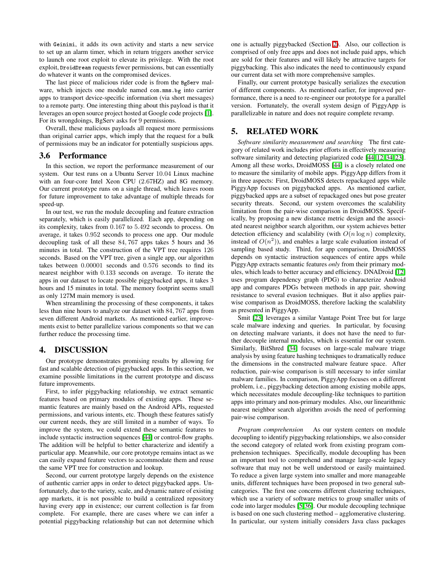with Geinimi, it adds its own activity and starts a new service to set up an alarm timer, which in return triggers another service to launch one root exploit to elevate its privilege. With the root exploit, DroidDream requests fewer permissions, but can essentially do whatever it wants on the compromised devices.

The last piece of malicious rider code is from the BgServ malware, which injects one module named om.mms.bg into carrier apps to transport device-specific information (via short messages) to a remote party. One interesting thing about this payload is that it leverages an open source project hosted at Google code projects [\[1\]](#page-8-6). For its wrongdoings, BgServ asks for 9 permissions.

Overall, these malicious payloads all request more permissions than original carrier apps, which imply that the request for a bulk of permissions may be an indicator for potentially suspicious apps.

## **3.6 Performance**

In this section, we report the performance measurement of our system. Our test runs on a Ubuntu Server 10.04 Linux machine with an four-core Intel Xeon CPU (2.67HZ) and 8G memory. Our current prototype runs on a single thread, which leaves room for future improvement to take advantage of multiple threads for speed-up.

In our test, we run the module decoupling and feature extraction separately, which is easily parallelized. Each app, depending on its complexity, takes from 0.167 to 5.492 seconds to process. On average, it takes 0.952 seconds to process one app. Our module decoupling task of all these 84, 767 apps takes 5 hours and 36 minutes in total. The construction of the VPT tree requires 126 seconds. Based on the VPT tree, given a single app, our algorithm takes between 0.00001 seconds and 0.576 seconds to find its nearest neighbor with 0.133 seconds on average. To iterate the apps in our dataset to locate possible piggybacked apps, it takes 3 hours and 15 minutes in total. The memory footprint seems small as only 127M main memory is used.

When streamlining the processing of these components, it takes less than nine hours to analyze our dataset with 84, 767 apps from seven different Android markets. As mentioned earlier, improvements exist to better parallelize various components so that we can further reduce the processing time.

## <span id="page-7-0"></span>**4. DISCUSSION**

Our prototype demonstrates promising results by allowing for fast and scalable detection of piggybacked apps. In this section, we examine possible limitations in the current prototype and discuss future improvements.

First, to infer piggybacking relationship, we extract semantic features based on primary modules of existing apps. These semantic features are mainly based on the Android APIs, requested permissions, and various intents, etc. Though these features satisfy our current needs, they are still limited in a number of ways. To improve the system, we could extend these semantic features to include syntactic instruction sequences [\[44\]](#page-10-0) or control-flow graphs. The addition will be helpful to better characterize and identify a particular app. Meanwhile, our core prototype remains intact as we can easily expand feature vectors to accommodate them and reuse the same VPT tree for construction and lookup.

Second, our current prototype largely depends on the existence of authentic carrier apps in order to detect piggybacked apps. Unfortunately, due to the variety, scale, and dynamic nature of existing app markets, it is not possible to build a centralized repository having every app in existence; our current collection is far from complete. For example, there are cases where we can infer a potential piggybacking relationship but can not determine which one is actually piggybacked (Section [2\)](#page-1-0). Also, our collection is comprised of only free apps and does not include paid apps, which are sold for their features and will likely be attractive targets for piggybacking. This also indicates the need to continuously expand our current data set with more comprehensive samples.

Finally, our current prototype basically serializes the execution of different components. As mentioned earlier, for improved performance, there is a need to re-engineer our prototype for a parallel version. Fortunately, the overall system design of PiggyApp is parallelizable in nature and does not require complete revamp.

## <span id="page-7-1"></span>**5. RELATED WORK**

*Software similarity measurement and searching* The first category of related work includes prior efforts in effectively measuring software similarity and detecting plagiarized code [\[44,](#page-10-0) [12,](#page-9-11) [34,](#page-9-12) [23\]](#page-9-13). Among all these works, DroidMOSS [\[44\]](#page-10-0) is a closely related one to measure the similarity of mobile apps. PiggyApp differs from it in three aspects: First, DroidMOSS detects repackaged apps while PiggyApp focuses on piggybacked apps. As mentioned earlier, piggybacked apps are a subset of repackaged ones but pose greater security threats. Second, our system overcomes the scalability limitation from the pair-wise comparison in DroidMOSS. Specifically, by proposing a new distance metric design and the associated nearest neighbor search algorithm, our system achieves better detection efficiency and scalability (with  $O(n \log n)$  complexity, instead of  $O(n^2)$ ), and enables a large scale evaluation instead of sampling based study. Third, for app comparison, DroidMOSS depends on syntactic instruction sequences of entire apps while PiggyApp extracts semantic features *only* from their primary modules, which leads to better accuracy and efficiency. DNADroid [\[12\]](#page-9-11) uses program dependency graph (PDG) to characterize Android app and compares PDGs between methods in app pair, showing resistance to several evasion techniques. But it also applies pairwise comparison as DroidMOSS, therefore lacking the scalability as presented in PiggyApp.

Smit [\[23\]](#page-9-13) leverages a similar Vantage Point Tree but for large scale malware indexing and queries. In particular, by focusing on detecting malware variants, it does not have the need to further decouple internal modules, which is essential for our system. Similarly, BitShred [\[34\]](#page-9-12) focuses on large-scale malware triage analysis by using feature hashing techniques to dramatically reduce the dimensions in the constructed malware feature space. After reduction, pair-wise comparison is still necessary to infer similar malware families. In comparison, PiggyApp focuses on a different problem, i.e., piggybacking detection among existing mobile apps, which necessitates module decoupling-like techniques to partition apps into primary and non-primary modules. Also, our linearithmic nearest neighbor search algorithm avoids the need of performing pair-wise comparison.

*Program comprehension* As our system centers on module decoupling to identify piggybacking relationships, we also consider the second category of related work from existing program comprehension techniques. Specifically, module decoupling has been an important tool to comprehend and manage large-scale legacy software that may not be well understood or easily maintained. To reduce a given large system into smaller and more manageable units, different techniques have been proposed in two general subcategories. The first one concerns different clustering techniques, which use a variety of software metrics to group smaller units of code into larger modules [\[5,](#page-8-2)[36\]](#page-10-6). Our module decoupling technique is based on one such clustering method – agglomerative clustering. In particular, our system initially considers Java class packages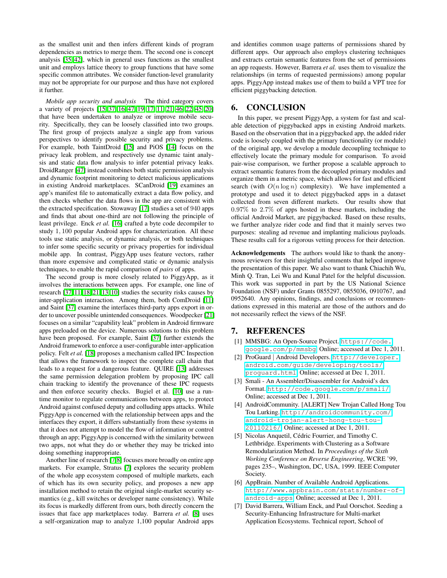as the smallest unit and then infers different kinds of program dependencies as metrics to merge them. The second one is concept analysis [\[35,](#page-10-7) [42\]](#page-10-8), which in general uses functions as the smallest unit and employs lattice theory to group functions that have some specific common attributes. We consider function-level granularity may not be appropriate for our purpose and thus have not explored it further.

*Mobile app security and analysis* The third category covers a variety of projects [\[15,](#page-9-14) [37,](#page-10-9) [16,](#page-9-15) [47,](#page-10-10) [19,](#page-9-16) [17,](#page-9-17) [11,](#page-9-18) [21,](#page-9-19) [46,](#page-10-11) [22,](#page-9-20) [45,](#page-10-12) [20\]](#page-9-21) that have been undertaken to analyze or improve mobile security. Specifically, they can be loosely classified into two groups. The first group of projects analyze a single app from various perspectives to identify possible security and privacy problems. For example, both TaintDroid [\[15\]](#page-9-14) and PiOS [\[14\]](#page-9-22) focus on the privacy leak problem, and respectively use dynamic taint analysis and static data flow analysis to infer potential privacy leaks. DroidRanger [\[47\]](#page-10-10) instead combines both static permission analysis and dynamic footprint monitoring to detect malicious applications in existing Android marketplaces. SCanDroid [\[19\]](#page-9-16) examines an app's manifest file to automatically extract a data flow policy, and then checks whether the data flows in the app are consistent with the extracted specification. Stowaway [\[17\]](#page-9-17) studies a set of 940 apps and finds that about one-third are not following the principle of least privilege. Enck *et al.* [\[16\]](#page-9-15) crafted a byte code decompiler to study 1, 100 popular Android apps for characterization. All these tools use static analysis, or dynamic analysis, or both techniques to infer some specific security or privacy properties for individual mobile app. In contrast, PiggyApp uses feature vectors, rather than more expensive and complicated static or dynamic analysis techniques, to enable the rapid comparison of *pairs* of apps.

The second group is more closely related to PiggyApp, as it involves the interactions between apps. For example, one line of research [\[37,](#page-10-9) [11,](#page-9-18) [18,](#page-9-23) [21,](#page-9-19) [13,](#page-9-24) [10\]](#page-9-25) studies the security risks causes by inter-application interaction. Among them, both ComDroid [\[11\]](#page-9-18) and Saint [\[37\]](#page-10-9) examine the interfaces third-party apps export in order to uncover possible unintended consequences. Woodpecker [\[21\]](#page-9-19) focuses on a similar "capability leak" problem in Android firmware apps preloaded on the device. Numerous solutions to this problem have been proposed. For example, Saint [\[37\]](#page-10-9) further extends the Android framework to enforce a user-configurable inter-application policy. Felt *et al.* [\[18\]](#page-9-23) proposes a mechanism called IPC Inspection that allows the framework to inspect the complete call chain that leads to a request for a dangerous feature. QUIRE [\[13\]](#page-9-24) addresses the same permission delegation problem by proposing IPC call chain tracking to identify the provenance of these IPC requests and then enforce security checks. Bugiel et al. [\[10\]](#page-9-25) use a runtime monitor to regulate communications between apps, to protect Android against confused deputy and colluding apps attacks. While PiggyApp is concerned with the relationship between apps and the interfaces they export, it differs substantially from these systems in that it does not attempt to model the flow of information or control through an app; PiggyApp is concerned with the similarity between two apps, not what they do or whether they may be tricked into doing something inappropriate.

Another line of research [\[7,](#page-8-7)[8\]](#page-9-26) focuses more broadly on entire app markets. For example, Stratus [\[7\]](#page-8-7) explores the security problem of the whole app ecosystem composed of multiple markets, each of which has its own security policy, and proposes a new app installation method to retain the original single-market security semantics (e.g., kill switches or developer name consistency). While its focus is markedly different from ours, both directly concern the issues that face app marketplaces today. Barrera *et al.* [\[8\]](#page-9-26) uses a self-organization map to analyze 1,100 popular Android apps and identifies common usage patterns of permissions shared by different apps. Our approach also employs clustering techniques and extracts certain semantic features from the set of permissions an app requests. However, Barrera *et al.* uses them to visualize the relationships (in terms of requested permissions) among popular apps. PiggyApp instead makes use of them to build a VPT tree for efficient piggybacking detection.

## <span id="page-8-1"></span>**6. CONCLUSION**

In this paper, we present PiggyApp, a system for fast and scalable detection of piggybacked apps in existing Android markets. Based on the observation that in a piggybacked app, the added rider code is loosely coupled with the primary functionality (or module) of the original app, we develop a module decoupling technique to effectively locate the primary module for comparison. To avoid pair-wise comparison, we further propose a scalable approach to extract semantic features from the decoupled primary modules and organize them in a metric space, which allows for fast and efficient search (with  $O(n \log n)$  complexity). We have implemented a prototype and used it to detect piggybacked apps in a dataset collected from seven different markets. Our results show that 0.97% to 2.7% of apps hosted in these markets, including the official Android Market, are piggybacked. Based on these results, we further analyze rider code and find that it mainly serves two purposes: stealing ad revenue and implanting malicious payloads. These results call for a rigorous vetting process for their detection.

**Acknowledgements** The authors would like to thank the anonymous reviewers for their insightful comments that helped improve the presentation of this paper. We also want to thank Chiachih Wu, Minh Q. Tran, Lei Wu and Kunal Patel for the helpful discussion. This work was supported in part by the US National Science Foundation (NSF) under Grants 0855297, 0855036, 0910767, and 0952640. Any opinions, findings, and conclusions or recommendations expressed in this material are those of the authors and do not necessarily reflect the views of the NSF.

## <span id="page-8-6"></span>**7. REFERENCES**

- [1] MMSBG: An Open-Source Project. [https://code.](https://code.google.com/p/mmsbg) [google.com/p/mmsbg](https://code.google.com/p/mmsbg). Online; accessed at Dec 1, 2011.
- <span id="page-8-4"></span>[2] ProGuard | Android Developers. [http://developer.](http://developer.android.com/guide/developing/tools/proguard.html) [android.com/guide/developing/tools/](http://developer.android.com/guide/developing/tools/proguard.html) [proguard.html](http://developer.android.com/guide/developing/tools/proguard.html). Online; accessed at Dec 1, 2011.
- <span id="page-8-3"></span>[3] Smali - An Assembler/Disassembler for Android's dex Format. <http://code.google.com/p/smali/>. Online; accessed at Dec 1, 2011.
- <span id="page-8-5"></span>[4] AndroidCommunity. [ALERT] New Trojan Called Hong Tou Tou Lurking. [http://androidcommunity.com/](http://androidcommunity.com/android-trojan-alert-hong-tou-tou-20110216/) [android-trojan-alert-hong-tou-tou-](http://androidcommunity.com/android-trojan-alert-hong-tou-tou-20110216/)[20110216/](http://androidcommunity.com/android-trojan-alert-hong-tou-tou-20110216/). Online; accessed at Dec 1, 2011.
- <span id="page-8-2"></span>[5] Nicolas Anquetil, Cédric Fourrier, and Timothy C. Lethbridge. Experiments with Clustering as a Software Remodularization Method. In *Proceedings of the Sixth Working Conference on Reverse Engineering*, WCRE '99, pages 235–, Washington, DC, USA, 1999. IEEE Computer Society.
- <span id="page-8-0"></span>[6] AppBrain. Number of Available Android Applications. [http://www.appbrain.com/stats/number-of](http://www.appbrain.com/stats/number-of-android-apps)[android-apps](http://www.appbrain.com/stats/number-of-android-apps). Online; accessed at Dec 1, 2011.
- <span id="page-8-7"></span>[7] David Barrera, William Enck, and Paul Oorschot. Seeding a Security-Enhancing Infrastructure for Multi-market Application Ecosystems. Technical report, School of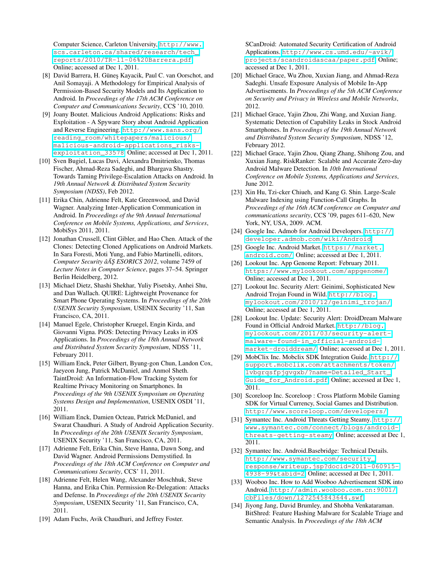Computer Science, Carleton University, [http://www.](http://www.scs.carleton.ca/shared/research/tech_reports/2010/TR-11-06%20Barrera.pdf) [scs.carleton.ca/shared/research/tech\\_](http://www.scs.carleton.ca/shared/research/tech_reports/2010/TR-11-06%20Barrera.pdf) [reports/2010/TR-11-06%20Barrera.pdf](http://www.scs.carleton.ca/shared/research/tech_reports/2010/TR-11-06%20Barrera.pdf). Online; accessed at Dec 1, 2011.

- <span id="page-9-26"></span>[8] David Barrera, H. Güneş Kayacik, Paul C. van Oorschot, and Anil Somayaji. A Methodology for Empirical Analysis of Permission-Based Security Models and Its Application to Android. In *Proceedings of the 17th ACM Conference on Computer and Communications Security*, CCS '10, 2010.
- <span id="page-9-4"></span>[9] Joany Boutet. Malicious Android Applications: Risks and Exploitation - A Spyware Story about Android Application and Reverse Engineering. [http://www.sans.org/](http://www.sans.org/reading_room/whitepapers/malicious/malicious-android-applications_risks-exploitation_33578) [reading\\_room/whitepapers/malicious/](http://www.sans.org/reading_room/whitepapers/malicious/malicious-android-applications_risks-exploitation_33578) [malicious-android-applications\\_risks](http://www.sans.org/reading_room/whitepapers/malicious/malicious-android-applications_risks-exploitation_33578)[exploitation\\_33578](http://www.sans.org/reading_room/whitepapers/malicious/malicious-android-applications_risks-exploitation_33578). Online; accessed at Dec 1, 2011.
- <span id="page-9-25"></span>[10] Sven Bugiel, Lucas Davi, Alexandra Dmitrienko, Thomas Fischer, Ahmad-Reza Sadeghi, and Bhargava Shastry. Towards Taming Privilege-Escalation Attacks on Android. In *19th Annual Network & Distributed System Security Symposium (NDSS)*, Feb 2012.
- <span id="page-9-18"></span>[11] Erika Chin, Adrienne Felt, Kate Greenwood, and David Wagner. Analyzing Inter-Application Communication in Android. In *Proceedings of the 9th Annual International Conference on Mobile Systems, Applications, and Services*, MobiSys 2011, 2011.
- <span id="page-9-11"></span>[12] Jonathan Crussell, Clint Gibler, and Hao Chen. Attack of the Clones: Detecting Cloned Applications on Android Markets. In Sara Foresti, Moti Yung, and Fabio Martinelli, editors, *Computer Security âAŞ ESORICS 2012*, volume 7459 of *Lecture Notes in Computer Science*, pages 37–54. Springer Berlin Heidelberg, 2012.
- <span id="page-9-24"></span>[13] Michael Dietz, Shashi Shekhar, Yuliy Pisetsky, Anhei Shu, and Dan Wallach. QUIRE: Lightweight Provenance for Smart Phone Operating Systems. In *Proceedings of the 20th USENIX Security Symposium*, USENIX Security '11, San Francisco, CA, 2011.
- <span id="page-9-22"></span>[14] Manuel Egele, Christopher Kruegel, Engin Kirda, and Giovanni Vigna. PiOS: Detecting Privacy Leaks in iOS Applications. In *Proceedings of the 18th Annual Network and Distributed System Security Symposium*, NDSS '11, February 2011.
- <span id="page-9-14"></span>[15] William Enck, Peter Gilbert, Byung-gon Chun, Landon Cox, Jaeyeon Jung, Patrick McDaniel, and Anmol Sheth. TaintDroid: An Information-Flow Tracking System for Realtime Privacy Monitoring on Smartphones. In *Proceedings of the 9th USENIX Symposium on Operating Systems Design and Implementation*, USENIX OSDI '11, 2011.
- <span id="page-9-15"></span>[16] William Enck, Damien Octeau, Patrick McDaniel, and Swarat Chaudhuri. A Study of Android Application Security. In *Proceedings of the 20th USENIX Security Symposium*, USENIX Security '11, San Francisco, CA, 2011.
- <span id="page-9-17"></span>[17] Adrienne Felt, Erika Chin, Steve Hanna, Dawn Song, and David Wagner. Android Permissions Demystified. In *Proceedings of the 18th ACM Conference on Computer and Communications Security*, CCS' 11, 2011.
- <span id="page-9-23"></span>[18] Adrienne Felt, Helen Wang, Alexander Moschhuk, Steve Hanna, and Erika Chin. Permission Re-Delegation: Attacks and Defense. In *Proceedings of the 20th USENIX Security Symposium*, USENIX Security '11, San Francisco, CA, 2011.
- <span id="page-9-16"></span>[19] Adam Fuchs, Avik Chaudhuri, and Jeffrey Foster.

SCanDroid: Automated Security Certification of Android Applications. [http://www.cs.umd.edu/~avik/](http://www.cs.umd.edu/~avik/projects/scandroidascaa/paper.pdf) [projects/scandroidascaa/paper.pdf](http://www.cs.umd.edu/~avik/projects/scandroidascaa/paper.pdf). Online; accessed at Dec 1, 2011.

- <span id="page-9-21"></span>[20] Michael Grace, Wu Zhou, Xuxian Jiang, and Ahmad-Reza Sadeghi. Unsafe Exposure Analysis of Mobile In-App Advertisements. In *Proceedings of the 5th ACM Conference on Security and Privacy in Wireless and Mobile Networks*, 2012.
- <span id="page-9-19"></span>[21] Michael Grace, Yajin Zhou, Zhi Wang, and Xuxian Jiang. Systematic Detection of Capability Leaks in Stock Android Smartphones. In *Proceedings of the 19th Annual Network and Distributed System Security Symposium*, NDSS '12, February 2012.
- <span id="page-9-20"></span>[22] Michael Grace, Yajin Zhou, Qiang Zhang, Shihong Zou, and Xuxian Jiang. RiskRanker: Scalable and Accurate Zero-day Android Malware Detection. In *10th International Conference on Mobile Systems, Applications and Services*, June 2012.
- <span id="page-9-13"></span>[23] Xin Hu, Tzi-cker Chiueh, and Kang G. Shin. Large-Scale Malware Indexing using Function-Call Graphs. In *Proceedings of the 16th ACM conference on Computer and communications security*, CCS '09, pages 611–620, New York, NY, USA, 2009. ACM.
- <span id="page-9-8"></span>[24] Google Inc. Admob for Android Developers. [http://](http://developer.admob.com/wiki/Android) [developer.admob.com/wiki/Android](http://developer.admob.com/wiki/Android).
- <span id="page-9-5"></span><span id="page-9-0"></span>[25] Google Inc. Android Market. [https://market.](https://market.android.com/) [android.com/](https://market.android.com/). Online; accessed at Dec 1, 2011.
- [26] Lookout Inc. App Genome Report: February 2011. <https://www.mylookout.com/appgenome/>. Online; accessed at Dec 1, 2011.
- <span id="page-9-10"></span>[27] Lookout Inc. Security Alert: Geinimi, Sophisticated New Android Trojan Found in Wild. [http://blog.](http://blog.mylookout.com/2010/12/geinimi_trojan/) [mylookout.com/2010/12/geinimi\\_trojan/](http://blog.mylookout.com/2010/12/geinimi_trojan/). Online; accessed at Dec 1, 2011.
- <span id="page-9-3"></span>[28] Lookout Inc. Update: Security Alert: DroidDream Malware Found in Official Android Market. [http://blog.](http://blog.mylookout.com/2011/03/security-alert-malware-found-in_official-android-market-droiddream/) [mylookout.com/2011/03/security-alert](http://blog.mylookout.com/2011/03/security-alert-malware-found-in_official-android-market-droiddream/)[malware-found-in\\_official-android](http://blog.mylookout.com/2011/03/security-alert-malware-found-in_official-android-market-droiddream/)[market-droiddream/](http://blog.mylookout.com/2011/03/security-alert-malware-found-in_official-android-market-droiddream/). Online; accessed at Dec 1, 2011.
- <span id="page-9-9"></span>[29] MobClix Inc. Mobclix SDK Integration Guide. [http://](http://support.mobclix.com/attachments/token/lvbgrqsfpjgvgxb/?name=Detailed_Start_Guide_for_Android.pdf) [support.mobclix.com/attachments/token/](http://support.mobclix.com/attachments/token/lvbgrqsfpjgvgxb/?name=Detailed_Start_Guide_for_Android.pdf) [lvbgrqsfpjgvgxb/?name=Detailed\\_Start\\_](http://support.mobclix.com/attachments/token/lvbgrqsfpjgvgxb/?name=Detailed_Start_Guide_for_Android.pdf) [Guide\\_for\\_Android.pdf](http://support.mobclix.com/attachments/token/lvbgrqsfpjgvgxb/?name=Detailed_Start_Guide_for_Android.pdf). Online; accessed at Dec 1, 2011.
- <span id="page-9-6"></span>[30] Scoreloop Inc. Scoreloop : Cross Platform Mobile Gaming SDK for Virtual Currency, Social Games and Distribution. <http://www.scoreloop.com/developers/>.
- <span id="page-9-2"></span>[31] Symantec Inc. Android Threats Getting Steamy. [http://](http://www.symantec.com/connect/blogs/android-threats-getting-steamy) [www.symantec.com/connect/blogs/android](http://www.symantec.com/connect/blogs/android-threats-getting-steamy)[threats-getting-steamy](http://www.symantec.com/connect/blogs/android-threats-getting-steamy). Online; accessed at Dec 1, 2011.
- <span id="page-9-1"></span>[32] Symantec Inc. Android.Basebridge: Technical Details. [http://www.symantec.com/security\\_](http://www.symantec.com/security_response/writeup.jsp?docid=2011-060915-4938-99&tabid=2) [response/writeup.jsp?docid=2011-060915-](http://www.symantec.com/security_response/writeup.jsp?docid=2011-060915-4938-99&tabid=2) [4938-99&tabid=2](http://www.symantec.com/security_response/writeup.jsp?docid=2011-060915-4938-99&tabid=2). Online; accessed at Dec 1, 2011.
- <span id="page-9-7"></span>[33] Wooboo Inc. How to Add Wooboo Advertisement SDK into Android. [http://admin.wooboo.com.cn:9001/](http://admin.wooboo.com.cn:9001/cbFiles/down/1272545843644.swf) [cbFiles/down/1272545843644.swf](http://admin.wooboo.com.cn:9001/cbFiles/down/1272545843644.swf).
- <span id="page-9-12"></span>[34] Jiyong Jang, David Brumley, and Shobha Venkataraman. BitShred: Feature Hashing Malware for Scalable Triage and Semantic Analysis. In *Proceedings of the 18th ACM*